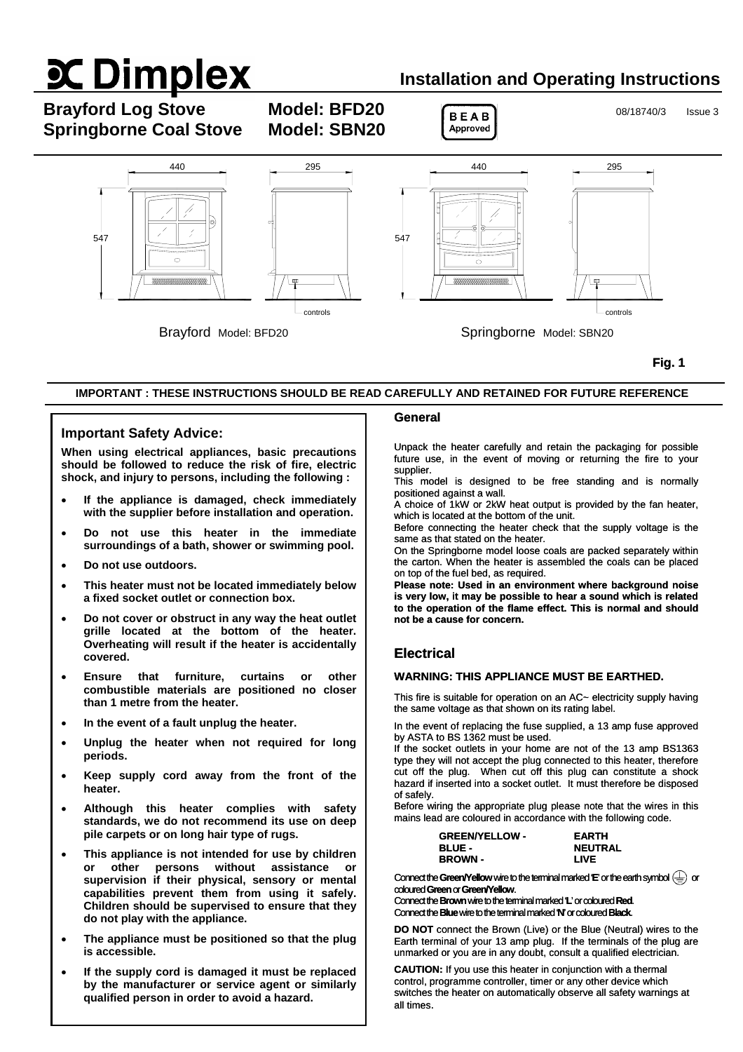# **X Dimplex**

## **Installation and Operating Instructions**

**Brayford Log Stove Model: BFD20 BEAB** 08/18740/3 Issue 3 **Springborne Coal Stove Model: SBN20** 





**Fig. 1** 

#### **IMPORTANT : THESE INSTRUCTIONS SHOULD BE READ CAREFULLY AND RETAINED FOR FUTURE REFERENCE**

#### **Important Safety Advice:**

**When using electrical appliances, basic precautions should be followed to reduce the risk of fire, electric shock, and injury to persons, including the following :** 

- **If the appliance is damaged, check immediately with the supplier before installation and operation.**
- **Do not use this heater in the immediate surroundings of a bath, shower or swimming pool.**
- **Do not use outdoors.**
- **This heater must not be located immediately below a fixed socket outlet or connection box.**
- **Do not cover or obstruct in any way the heat outlet grille located at the bottom of the heater. Overheating will result if the heater is accidentally covered.**
- **Ensure that furniture, curtains or other combustible materials are positioned no closer than 1 metre from the heater.**
- **In the event of a fault unplug the heater.**
- **Unplug the heater when not required for long periods.**
- **Keep supply cord away from the front of the heater.**
- **Although this heater complies with safety standards, we do not recommend its use on deep pile carpets or on long hair type of rugs.**
- **This appliance is not intended for use by children or other persons without assistance or supervision if their physical, sensory or mental capabilities prevent them from using it safely. Children should be supervised to ensure that they do not play with the appliance.**
- **The appliance must be positioned so that the plug is accessible.**
- **If the supply cord is damaged it must be replaced by the manufacturer or service agent or similarly qualified person in order to avoid a hazard.**

#### **General**

Unpack the heater carefully and retain the packaging for possible future use, in the event of moving or returning the fire to your supplier.

This model is designed to be free standing and is normally positioned against a wall.

A choice of 1kW or 2kW heat output is provided by the fan heater, which is located at the bottom of the unit.

Before connecting the heater check that the supply voltage is the same as that stated on the heater.

On the Springborne model loose coals are packed separately within the carton. When the heater is assembled the coals can be placed on top of the fuel bed, as required.

**Please note: Used in an environment where background noise is very low, it may be possible to hear a sound which is related to the operation of the flame effect. This is normal and should not be a cause for concern.**

#### **Electrical**

#### **WARNING: THIS APPLIANCE MUST BE EARTHED.**

This fire is suitable for operation on an AC~ electricity supply having the same voltage as that shown on its rating label.

In the event of replacing the fuse supplied, a 13 amp fuse approved by ASTA to BS 1362 must be used.

If the socket outlets in your home are not of the 13 amp BS1363 type they will not accept the plug connected to this heater, therefore cut off the plug. When cut off this plug can constitute a shock hazard if inserted into a socket outlet. It must therefore be disposed of safely.

Before wiring the appropriate plug please note that the wires in this mains lead are coloured in accordance with the following code.

| <b>GREEN/YELLOW -</b> | <b>EARTH</b>   |
|-----------------------|----------------|
| <b>BLUE -</b>         | <b>NEUTRAL</b> |
| <b>BROWN -</b>        | LIVE           |

Connect the Green/Yellow wire to the terminal marked **E**' or the earth symbol  $\left(\frac{\mathbb{I}}{\mathbb{I}}\right)$  or coloured **Green** or**Green/Yellow**.

Connect the **Brown** wire tothe terminalmarked'**L**' or coloured**Red**. Connect the **Blue** wire tothe terminal marked'**N**' or coloured**Black**.

**DO NOT** connect the Brown (Live) or the Blue (Neutral) wires to the Earth terminal of your 13 amp plug. If the terminals of the plug are unmarked or you are in any doubt, consult a qualified electrician.

**CAUTION:** If you use this heater in conjunction with a thermal control, programme controller, timer or any other device which switches the heater on automatically observe all safety warnings at all times.